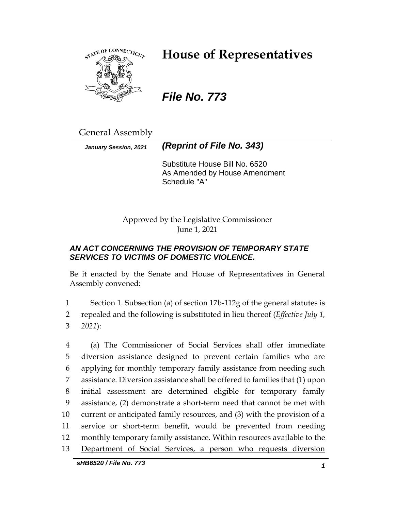

# **House of Representatives**

*File No. 773*

General Assembly

*January Session, 2021 (Reprint of File No. 343)*

Substitute House Bill No. 6520 As Amended by House Amendment Schedule "A"

Approved by the Legislative Commissioner June 1, 2021

## *AN ACT CONCERNING THE PROVISION OF TEMPORARY STATE SERVICES TO VICTIMS OF DOMESTIC VIOLENCE.*

Be it enacted by the Senate and House of Representatives in General Assembly convened:

1 Section 1. Subsection (a) of section 17b-112g of the general statutes is 2 repealed and the following is substituted in lieu thereof (*Effective July 1,*  3 *2021*):

 (a) The Commissioner of Social Services shall offer immediate diversion assistance designed to prevent certain families who are applying for monthly temporary family assistance from needing such assistance. Diversion assistance shall be offered to families that (1) upon initial assessment are determined eligible for temporary family assistance, (2) demonstrate a short-term need that cannot be met with current or anticipated family resources, and (3) with the provision of a service or short-term benefit, would be prevented from needing 12 monthly temporary family assistance. Within resources available to the Department of Social Services, a person who requests diversion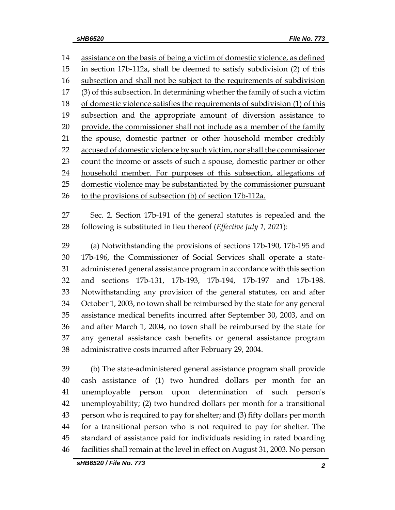14 assistance on the basis of being a victim of domestic violence, as defined in section 17b-112a, shall be deemed to satisfy subdivision (2) of this subsection and shall not be subject to the requirements of subdivision (3) of this subsection. In determining whether the family of such a victim of domestic violence satisfies the requirements of subdivision (1) of this subsection and the appropriate amount of diversion assistance to 20 provide, the commissioner shall not include as a member of the family 21 the spouse, domestic partner or other household member credibly 22 accused of domestic violence by such victim, nor shall the commissioner count the income or assets of such a spouse, domestic partner or other household member. For purposes of this subsection, allegations of domestic violence may be substantiated by the commissioner pursuant to the provisions of subsection (b) of section 17b-112a.

 Sec. 2. Section 17b-191 of the general statutes is repealed and the following is substituted in lieu thereof (*Effective July 1, 2021*):

 (a) Notwithstanding the provisions of sections 17b-190, 17b-195 and 17b-196, the Commissioner of Social Services shall operate a state- administered general assistance program in accordance with this section and sections 17b-131, 17b-193, 17b-194, 17b-197 and 17b-198. Notwithstanding any provision of the general statutes, on and after October 1, 2003, no town shall be reimbursed by the state for any general assistance medical benefits incurred after September 30, 2003, and on and after March 1, 2004, no town shall be reimbursed by the state for any general assistance cash benefits or general assistance program administrative costs incurred after February 29, 2004.

 (b) The state-administered general assistance program shall provide cash assistance of (1) two hundred dollars per month for an unemployable person upon determination of such person's unemployability; (2) two hundred dollars per month for a transitional person who is required to pay for shelter; and (3) fifty dollars per month for a transitional person who is not required to pay for shelter. The standard of assistance paid for individuals residing in rated boarding facilities shall remain at the level in effect on August 31, 2003. No person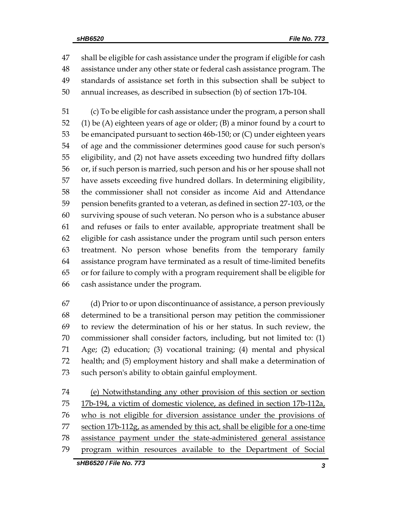shall be eligible for cash assistance under the program if eligible for cash assistance under any other state or federal cash assistance program. The standards of assistance set forth in this subsection shall be subject to annual increases, as described in subsection (b) of section 17b-104.

 (c) To be eligible for cash assistance under the program, a person shall (1) be (A) eighteen years of age or older; (B) a minor found by a court to be emancipated pursuant to section 46b-150; or (C) under eighteen years of age and the commissioner determines good cause for such person's eligibility, and (2) not have assets exceeding two hundred fifty dollars or, if such person is married, such person and his or her spouse shall not have assets exceeding five hundred dollars. In determining eligibility, the commissioner shall not consider as income Aid and Attendance pension benefits granted to a veteran, as defined in section 27-103, or the surviving spouse of such veteran. No person who is a substance abuser and refuses or fails to enter available, appropriate treatment shall be eligible for cash assistance under the program until such person enters treatment. No person whose benefits from the temporary family assistance program have terminated as a result of time-limited benefits or for failure to comply with a program requirement shall be eligible for cash assistance under the program.

 (d) Prior to or upon discontinuance of assistance, a person previously determined to be a transitional person may petition the commissioner to review the determination of his or her status. In such review, the commissioner shall consider factors, including, but not limited to: (1) Age; (2) education; (3) vocational training; (4) mental and physical health; and (5) employment history and shall make a determination of such person's ability to obtain gainful employment.

 (e) Notwithstanding any other provision of this section or section 17b-194, a victim of domestic violence, as defined in section 17b-112a, who is not eligible for diversion assistance under the provisions of 77 section 17b-112g, as amended by this act, shall be eligible for a one-time assistance payment under the state-administered general assistance program within resources available to the Department of Social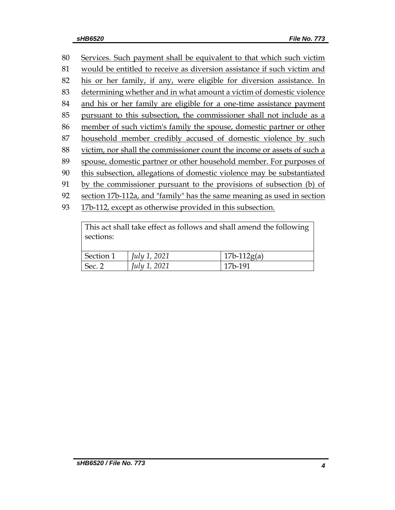| 80 | Services. Such payment shall be equivalent to that which such victim    |
|----|-------------------------------------------------------------------------|
| 81 | would be entitled to receive as diversion assistance if such victim and |
| 82 | his or her family, if any, were eligible for diversion assistance. In   |
| 83 | determining whether and in what amount a victim of domestic violence    |
| 84 | and his or her family are eligible for a one-time assistance payment    |
| 85 | pursuant to this subsection, the commissioner shall not include as a    |
| 86 | member of such victim's family the spouse, domestic partner or other    |
| 87 | household member credibly accused of domestic violence by such          |
| 88 | victim, nor shall the commissioner count the income or assets of such a |
| 89 | spouse, domestic partner or other household member. For purposes of     |
| 90 | this subsection, allegations of domestic violence may be substantiated  |
| 91 | by the commissioner pursuant to the provisions of subsection (b) of     |
| 92 | section 17b-112a, and "family" has the same meaning as used in section  |
| 93 | 17b-112, except as otherwise provided in this subsection.               |
|    |                                                                         |

| This act shall take effect as follows and shall amend the following |                     |               |  |  |  |  |
|---------------------------------------------------------------------|---------------------|---------------|--|--|--|--|
| sections:                                                           |                     |               |  |  |  |  |
|                                                                     |                     |               |  |  |  |  |
| Section 1                                                           | July 1, 2021        | $17b-112g(a)$ |  |  |  |  |
| Sec. 2                                                              | <i>July 1, 2021</i> | 17b-191       |  |  |  |  |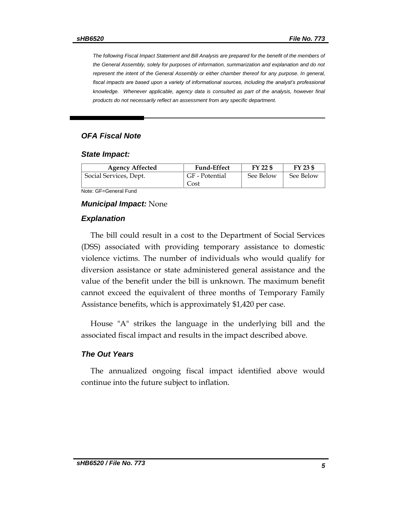*The following Fiscal Impact Statement and Bill Analysis are prepared for the benefit of the members of the General Assembly, solely for purposes of information, summarization and explanation and do not represent the intent of the General Assembly or either chamber thereof for any purpose. In general,*  fiscal impacts are based upon a variety of informational sources, including the analyst's professional *knowledge. Whenever applicable, agency data is consulted as part of the analysis, however final products do not necessarily reflect an assessment from any specific department.*

#### *OFA Fiscal Note*

#### *State Impact:*

| Social Services, Dept.<br>Cost | See Below<br>GF - Potential | See Below |
|--------------------------------|-----------------------------|-----------|

Note: GF=General Fund

#### *Municipal Impact:* None

#### *Explanation*

The bill could result in a cost to the Department of Social Services (DSS) associated with providing temporary assistance to domestic violence victims. The number of individuals who would qualify for diversion assistance or state administered general assistance and the value of the benefit under the bill is unknown. The maximum benefit cannot exceed the equivalent of three months of Temporary Family Assistance benefits, which is approximately \$1,420 per case.

House "A" strikes the language in the underlying bill and the associated fiscal impact and results in the impact described above.

#### *The Out Years*

The annualized ongoing fiscal impact identified above would continue into the future subject to inflation.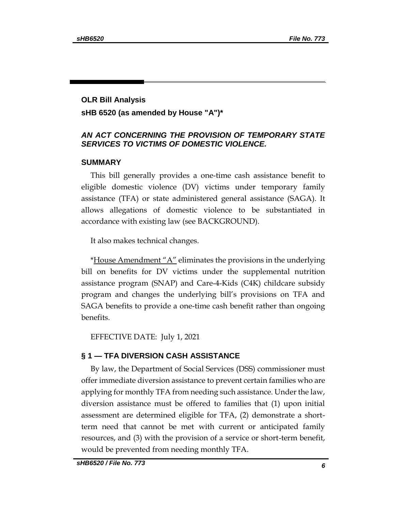## **OLR Bill Analysis sHB 6520 (as amended by House "A")\***

#### *AN ACT CONCERNING THE PROVISION OF TEMPORARY STATE SERVICES TO VICTIMS OF DOMESTIC VIOLENCE.*

#### **SUMMARY**

This bill generally provides a one-time cash assistance benefit to eligible domestic violence (DV) victims under temporary family assistance (TFA) or state administered general assistance (SAGA). It allows allegations of domestic violence to be substantiated in accordance with existing law (see BACKGROUND).

It also makes technical changes.

\*House Amendment "A" eliminates the provisions in the underlying bill on benefits for DV victims under the supplemental nutrition assistance program (SNAP) and Care-4-Kids (C4K) childcare subsidy program and changes the underlying bill's provisions on TFA and SAGA benefits to provide a one-time cash benefit rather than ongoing benefits.

EFFECTIVE DATE: July 1, 2021

### **§ 1 — TFA DIVERSION CASH ASSISTANCE**

By law, the Department of Social Services (DSS) commissioner must offer immediate diversion assistance to prevent certain families who are applying for monthly TFA from needing such assistance. Under the law, diversion assistance must be offered to families that (1) upon initial assessment are determined eligible for TFA, (2) demonstrate a shortterm need that cannot be met with current or anticipated family resources, and (3) with the provision of a service or short-term benefit, would be prevented from needing monthly TFA.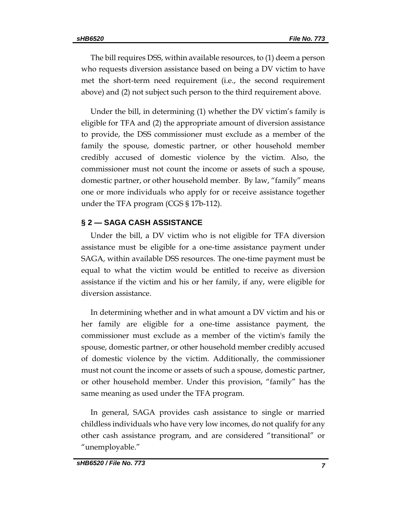The bill requires DSS, within available resources, to (1) deem a person who requests diversion assistance based on being a DV victim to have met the short-term need requirement (i.e., the second requirement above) and (2) not subject such person to the third requirement above.

Under the bill, in determining (1) whether the DV victim's family is eligible for TFA and (2) the appropriate amount of diversion assistance to provide, the DSS commissioner must exclude as a member of the family the spouse, domestic partner, or other household member credibly accused of domestic violence by the victim. Also, the commissioner must not count the income or assets of such a spouse, domestic partner, or other household member. By law, "family" means one or more individuals who apply for or receive assistance together under the TFA program (CGS § 17b-112).

#### **§ 2 — SAGA CASH ASSISTANCE**

Under the bill, a DV victim who is not eligible for TFA diversion assistance must be eligible for a one-time assistance payment under SAGA, within available DSS resources. The one-time payment must be equal to what the victim would be entitled to receive as diversion assistance if the victim and his or her family, if any, were eligible for diversion assistance.

In determining whether and in what amount a DV victim and his or her family are eligible for a one-time assistance payment, the commissioner must exclude as a member of the victim's family the spouse, domestic partner, or other household member credibly accused of domestic violence by the victim. Additionally, the commissioner must not count the income or assets of such a spouse, domestic partner, or other household member. Under this provision, "family" has the same meaning as used under the TFA program.

In general, SAGA provides cash assistance to single or married childless individuals who have very low incomes, do not qualify for any other cash assistance program, and are considered "transitional" or "unemployable."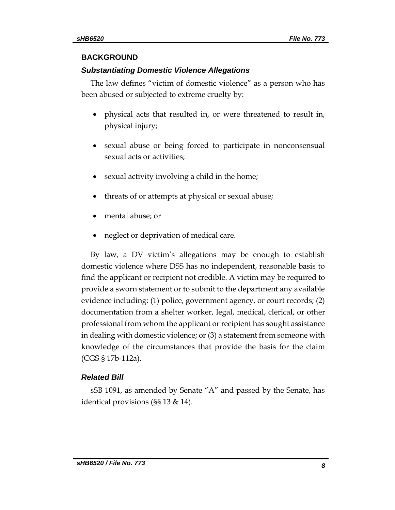#### **BACKGROUND**

## *Substantiating Domestic Violence Allegations*

The law defines "victim of domestic violence" as a person who has been abused or subjected to extreme cruelty by:

- physical acts that resulted in, or were threatened to result in, physical injury;
- sexual abuse or being forced to participate in nonconsensual sexual acts or activities;
- sexual activity involving a child in the home;
- threats of or attempts at physical or sexual abuse;
- mental abuse; or
- neglect or deprivation of medical care.

By law, a DV victim's allegations may be enough to establish domestic violence where DSS has no independent, reasonable basis to find the applicant or recipient not credible. A victim may be required to provide a sworn statement or to submit to the department any available evidence including: (1) police, government agency, or court records; (2) documentation from a shelter worker, legal, medical, clerical, or other professional from whom the applicant or recipient has sought assistance in dealing with domestic violence; or (3) a statement from someone with knowledge of the circumstances that provide the basis for the claim (CGS § 17b-112a).

## *Related Bill*

sSB 1091, as amended by Senate "A" and passed by the Senate, has identical provisions (§§ 13 & 14).